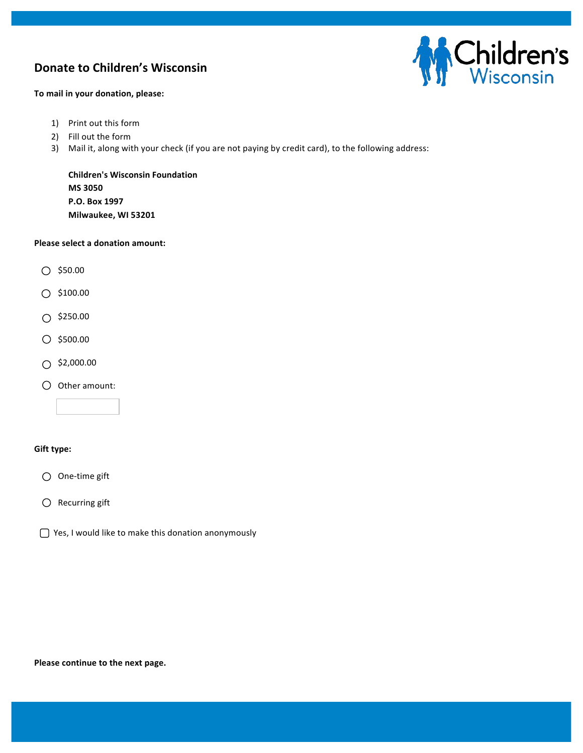## **Donate to Children's Wisconsin**



**To mail in your donation, please:** 

- 1) Print out this form
- 2) Fill out the form
- 3) Mail it, along with your check (if you are not paying by credit card), to the following address:

**Children's Wisconsin Foundation MS 3050 P.O. Box 1997 Milwaukee, WI 53201** 

#### **Please select a donation amount:**

- $O$  \$50.00
- $O$ \$100.00
- $\bigcirc$  \$250.00
- $O$ \$500.00
- $\bigcirc$  \$2,000.00
- $O$  Other amount:

#### **Gift type:**

- $\bigcirc$  One-time gift
- $\bigcirc$  Recurring gift
- $\bigcap$  Yes, I would like to make this donation anonymously

#### Please continue to the next page.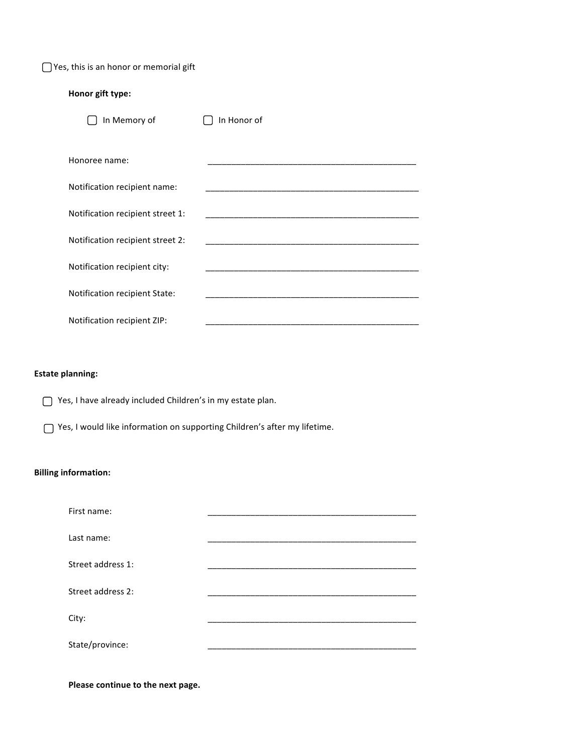$\bigcap$  Yes, this is an honor or memorial gift

## **Honor gift type:**

| In Memory of                     | In Honor of |
|----------------------------------|-------------|
| Honoree name:                    |             |
| Notification recipient name:     |             |
| Notification recipient street 1: |             |
| Notification recipient street 2: |             |
| Notification recipient city:     |             |
| Notification recipient State:    |             |
| Notification recipient ZIP:      |             |

## **Estate planning:**

 $\bigcap$  Yes, I have already included Children's in my estate plan.

 $\bigcap$  Yes, I would like information on supporting Children's after my lifetime.

## **Billing information:**

| First name:       |  |
|-------------------|--|
| Last name:        |  |
| Street address 1: |  |
| Street address 2: |  |
| City:             |  |
| State/province:   |  |

Please continue to the next page.